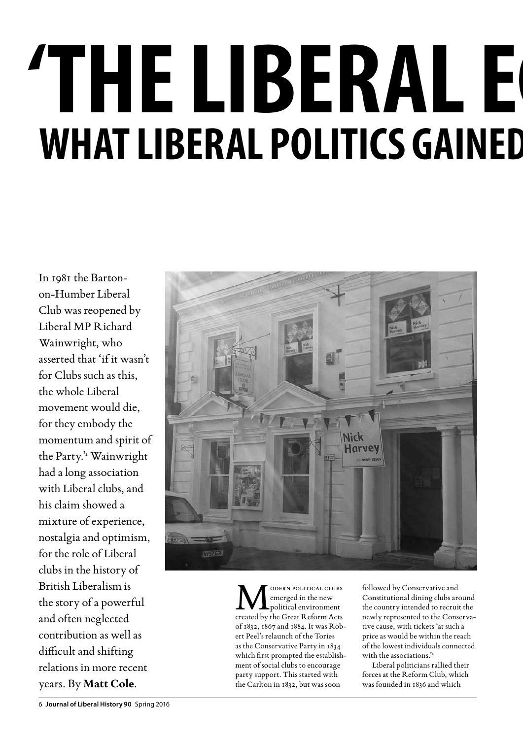# **'The Liberal echo chamber' WHAT LIBERAL POLITICS GAINED**

In 1981 the Bartonon-Humber Liberal Club was reopened by Liberal MP Richard Wainwright, who asserted that 'if it wasn't for Clubs such as this, the whole Liberal movement would die, for they embody the momentum and spirit of the Party.'<sup>1</sup> Wainwright had a long association with Liberal clubs, and his claim showed a mixture of experience, nostalgia and optimism, for the role of Liberal clubs in the history of British Liberalism is the story of a powerful and often neglected contribution as well as difficult and shifting relations in more recent years. By **Matt Cole**.



MODERN POLITICAL CLUBS<br>
political environment<br>
created by the Great Reform Acts emerged in the new created by the Great Reform Acts of 1832, 1867 and 1884. It was Robert Peel's relaunch of the Tories as the Conservative Party in 1834 which first prompted the establishment of social clubs to encourage party support. This started with the Carlton in 1832, but was soon

followed by Conservative and Constitutional dining clubs around the country intended to recruit the newly represented to the Conservative cause, with tickets 'at such a price as would be within the reach of the lowest individuals connected with the associations.'2

Liberal politicians rallied their forces at the Reform Club, which was founded in 1836 and which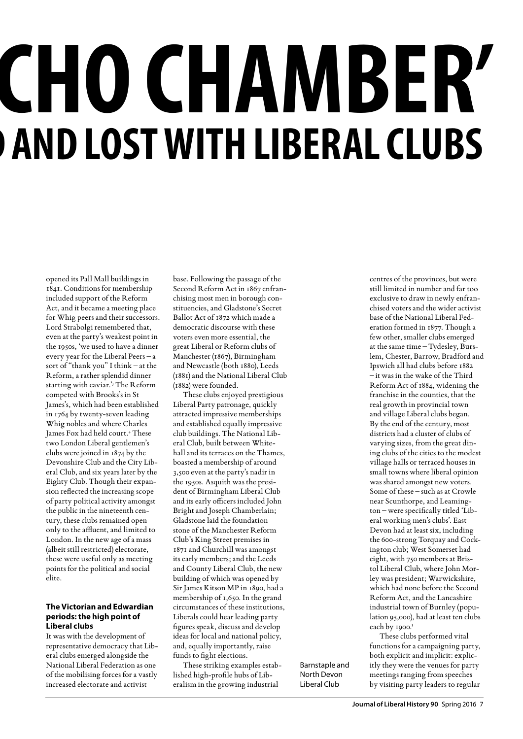# **CHO CHAMBER' AND LOST WITH LIBERAL CLUBS**

opened its Pall Mall buildings in 1841. Conditions for membership included support of the Reform Act, and it became a meeting place for Whig peers and their successors. Lord Strabolgi remembered that, even at the party's weakest point in the 1950s, 'we used to have a dinner every year for the Liberal Peers – a sort of "thank you" I think – at the Reform, a rather splendid dinner starting with caviar.'3 The Reform competed with Brooks's in St James's, which had been established in 1764 by twenty-seven leading Whig nobles and where Charles James Fox had held court.4 These two London Liberal gentlemen's clubs were joined in 1874 by the Devonshire Club and the City Liberal Club, and six years later by the Eighty Club. Though their expansion reflected the increasing scope of party political activity amongst the public in the nineteenth century, these clubs remained open only to the affluent, and limited to London. In the new age of a mass (albeit still restricted) electorate, these were useful only as meeting points for the political and social elite.

### **The Victorian and Edwardian periods: the high point of Liberal clubs**

It was with the development of representative democracy that Liberal clubs emerged alongside the National Liberal Federation as one of the mobilising forces for a vastly increased electorate and activist

base. Following the passage of the Second Reform Act in 1867 enfranchising most men in borough constituencies, and Gladstone's Secret Ballot Act of 1872 which made a democratic discourse with these voters even more essential, the great Liberal or Reform clubs of Manchester (1867), Birmingham and Newcastle (both 1880), Leeds (1881) and the National Liberal Club (1882) were founded.

These clubs enjoyed prestigious Liberal Party patronage, quickly attracted impressive memberships and established equally impressive club buildings. The National Liberal Club, built between Whitehall and its terraces on the Thames, boasted a membership of around 3,500 even at the party's nadir in the 1950s. Asquith was the president of Birmingham Liberal Club and its early officers included John Bright and Joseph Chamberlain; Gladstone laid the foundation stone of the Manchester Reform Club's King Street premises in 1871 and Churchill was amongst its early members; and the Leeds and County Liberal Club, the new building of which was opened by Sir James Kitson MP in 1890, had a membership of 1,650. In the grand circumstances of these institutions, Liberals could hear leading party figures speak, discuss and develop ideas for local and national policy, and, equally importantly, raise funds to fight elections.

These striking examples established high-profile hubs of Liberalism in the growing industrial

Barnstaple and North Devon Liberal Club

centres of the provinces, but were still limited in number and far too exclusive to draw in newly enfranchised voters and the wider activist base of the National Liberal Federation formed in 1877. Though a few other, smaller clubs emerged at the same time – Tydesley, Burslem, Chester, Barrow, Bradford and Ipswich all had clubs before 1882 – it was in the wake of the Third Reform Act of 1884, widening the franchise in the counties, that the real growth in provincial town and village Liberal clubs began. By the end of the century, most districts had a cluster of clubs of varying sizes, from the great dining clubs of the cities to the modest village halls or terraced houses in small towns where liberal opinion was shared amongst new voters. Some of these – such as at Crowle near Scunthorpe, and Leamington – were specifically titled 'Liberal working men's clubs'. East Devon had at least six, including the 600-strong Torquay and Cockington club; West Somerset had eight, with 750 members at Bristol Liberal Club, where John Morley was president; Warwickshire, which had none before the Second Reform Act, and the Lancashire industrial town of Burnley (population 95,000), had at least ten clubs each by 1900.<sup>5</sup>

These clubs performed vital functions for a campaigning party, both explicit and implicit: explicitly they were the venues for party meetings ranging from speeches by visiting party leaders to regular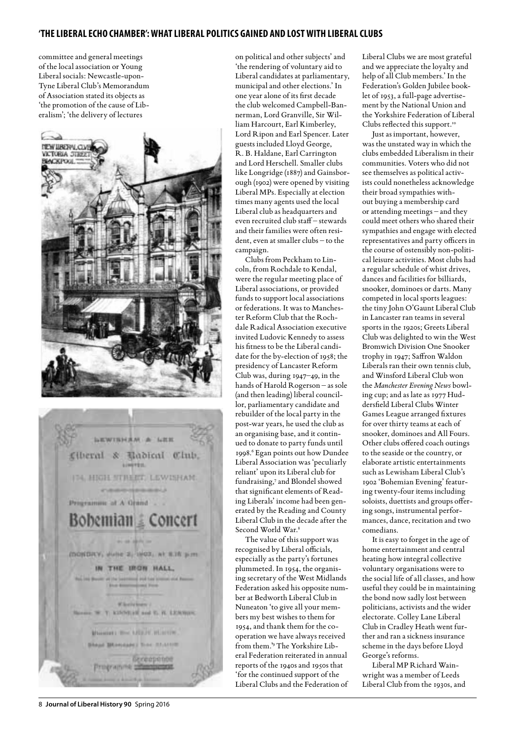committee and general meetings of the local association or Young Liberal socials: Newcastle-upon-Tyne Liberal Club's Memorandum of Association stated its objects as 'the promotion of the cause of Liberalism'; 'the delivery of lectures





on political and other subjects' and 'the rendering of voluntary aid to Liberal candidates at parliamentary, municipal and other elections.' In one year alone of its first decade the club welcomed Campbell-Bannerman, Lord Granville, Sir William Harcourt, Earl Kimberley, Lord Ripon and Earl Spencer. Later guests included Lloyd George, R. B. Haldane, Earl Carrington and Lord Herschell. Smaller clubs like Longridge (1887) and Gainsborough (1902) were opened by visiting Liberal MPs. Especially at election times many agents used the local Liberal club as headquarters and even recruited club staff – stewards and their families were often resident, even at smaller clubs – to the campaign.

Clubs from Peckham to Lincoln, from Rochdale to Kendal, were the regular meeting place of Liberal associations, or provided funds to support local associations or federations. It was to Manchester Reform Club that the Rochdale Radical Association executive invited Ludovic Kennedy to assess his fitness to be the Liberal candidate for the by-election of 1958; the presidency of Lancaster Reform Club was, during 1947–49, in the hands of Harold Rogerson – as sole (and then leading) liberal councillor, parliamentary candidate and rebuilder of the local party in the post-war years, he used the club as an organising base, and it continued to donate to party funds until 1998.<sup>6</sup> Egan points out how Dundee Liberal Association was 'peculiarly reliant' upon its Liberal club for fundraising,7 and Blondel showed that significant elements of Reading Liberals' income had been generated by the Reading and County Liberal Club in the decade after the Second World War.8

The value of this support was recognised by Liberal officials, especially as the party's fortunes plummeted. In 1954, the organising secretary of the West Midlands Federation asked his opposite number at Bedworth Liberal Club in Nuneaton 'to give all your members my best wishes to them for 1954, and thank them for the cooperation we have always received from them.'9 The Yorkshire Liberal Federation reiterated in annual reports of the 1940s and 1950s that 'for the continued support of the Liberal Clubs and the Federation of Liberal Clubs we are most grateful and we appreciate the loyalty and help of all Club members.' In the Federation's Golden Jubilee booklet of 1953, a full-page advertisement by the National Union and the Yorkshire Federation of Liberal Clubs reflected this support.<sup>10</sup>

Just as important, however, was the unstated way in which the clubs embedded Liberalism in their communities. Voters who did not see themselves as political activists could nonetheless acknowledge their broad sympathies without buying a membership card or attending meetings – and they could meet others who shared their sympathies and engage with elected representatives and party officers in the course of ostensibly non-political leisure activities. Most clubs had a regular schedule of whist drives, dances and facilities for billiards, snooker, dominoes or darts. Many competed in local sports leagues: the tiny John O'Gaunt Liberal Club in Lancaster ran teams in several sports in the 1920s; Greets Liberal Club was delighted to win the West Bromwich Division One Snooker trophy in 1947; Saffron Waldon Liberals ran their own tennis club, and Winsford Liberal Club won the *Manchester Evening News* bowling cup; and as late as 1977 Huddersfield Liberal Clubs Winter Games League arranged fixtures for over thirty teams at each of snooker, dominoes and All Fours. Other clubs offered coach outings to the seaside or the country, or elaborate artistic entertainments such as Lewisham Liberal Club's 1902 'Bohemian Evening' featuring twenty-four items including soloists, duettists and groups offering songs, instrumental performances, dance, recitation and two comedians.

It is easy to forget in the age of home entertainment and central heating how integral collective voluntary organisations were to the social life of all classes, and how useful they could be in maintaining the bond now sadly lost between politicians, activists and the wider electorate. Colley Lane Liberal Club in Cradley Heath went further and ran a sickness insurance scheme in the days before Lloyd George's reforms.

Liberal MP Richard Wainwright was a member of Leeds Liberal Club from the 1930s, and

8 **Journal of Liberal History 90** Spring 2016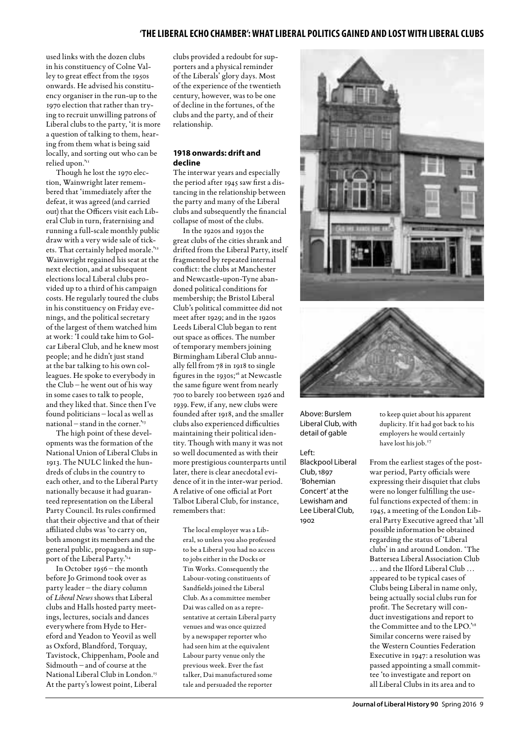used links with the dozen clubs in his constituency of Colne Valley to great effect from the 1950s onwards. He advised his constituency organiser in the run-up to the 1970 election that rather than trying to recruit unwilling patrons of Liberal clubs to the party, 'it is more a question of talking to them, hearing from them what is being said locally, and sorting out who can be relied upon.'11

Though he lost the 1970 election, Wainwright later remembered that 'immediately after the defeat, it was agreed (and carried out) that the Officers visit each Liberal Club in turn, fraternising and running a full-scale monthly public draw with a very wide sale of tickets. That certainly helped morale.'12 Wainwright regained his seat at the next election, and at subsequent elections local Liberal clubs provided up to a third of his campaign costs. He regularly toured the clubs in his constituency on Friday evenings, and the political secretary of the largest of them watched him at work: 'I could take him to Golcar Liberal Club, and he knew most people; and he didn't just stand at the bar talking to his own colleagues. He spoke to everybody in the Club – he went out of his way in some cases to talk to people, and they liked that. Since then I've found politicians – local as well as national – stand in the corner.'13

The high point of these developments was the formation of the National Union of Liberal Clubs in 1913. The NULC linked the hundreds of clubs in the country to each other, and to the Liberal Party nationally because it had guaranteed representation on the Liberal Party Council. Its rules confirmed that their objective and that of their affiliated clubs was 'to carry on, both amongst its members and the general public, propaganda in support of the Liberal Party."<sup>14</sup>

In October 1956 – the month before Jo Grimond took over as party leader – the diary column of *Liberal News* shows that Liberal clubs and Halls hosted party meetings, lectures, socials and dances everywhere from Hyde to Hereford and Yeadon to Yeovil as well as Oxford, Blandford, Torquay, Tavistock, Chippenham, Poole and Sidmouth – and of course at the National Liberal Club in London.<sup>15</sup> At the party's lowest point, Liberal

clubs provided a redoubt for supporters and a physical reminder of the Liberals' glory days. Most of the experience of the twentieth century, however, was to be one of decline in the fortunes, of the clubs and the party, and of their relationship.

#### **1918 onwards: drift and decline**

The interwar years and especially the period after 1945 saw first a distancing in the relationship between the party and many of the Liberal clubs and subsequently the financial collapse of most of the clubs.

In the 1920s and 1930s the great clubs of the cities shrank and drifted from the Liberal Party, itself fragmented by repeated internal conflict: the clubs at Manchester and Newcastle-upon-Tyne abandoned political conditions for membership; the Bristol Liberal Club's political committee did not meet after 1929; and in the 1920s Leeds Liberal Club began to rent out space as offices. The number of temporary members joining Birmingham Liberal Club annually fell from 78 in 1918 to single figures in the 1930s;<sup>16</sup> at Newcastle the same figure went from nearly 700 to barely 100 between 1926 and 1939. Few, if any, new clubs were founded after 1918, and the smaller clubs also experienced difficulties maintaining their political identity. Though with many it was not so well documented as with their more prestigious counterparts until later, there is clear anecdotal evidence of it in the inter-war period. A relative of one official at Port Talbot Liberal Club, for instance, remembers that:

The local employer was a Liberal, so unless you also professed to be a Liberal you had no access to jobs either in the Docks or Tin Works. Consequently the Labour-voting constituents of Sandfields joined the Liberal Club. As a committee member Dai was called on as a representative at certain Liberal party venues and was once quizzed by a newspaper reporter who had seen him at the equivalent Labour party venue only the previous week. Ever the fast talker, Dai manufactured some tale and persuaded the reporter





Above: Burslem Liberal Club, with detail of gable

Left:

Blackpool Liberal Club, 1897 'Bohemian Concert' at the Lewisham and Lee Liberal Club, 1902

to keep quiet about his apparent duplicity. If it had got back to his employers he would certainly have lost his job.<sup>17</sup>

From the earliest stages of the postwar period, Party officials were expressing their disquiet that clubs were no longer fulfilling the useful functions expected of them: in 1945, a meeting of the London Liberal Party Executive agreed that 'all possible information be obtained regarding the status of 'Liberal clubs' in and around London. 'The Battersea Liberal Association Club … and the Ilford Liberal Club … appeared to be typical cases of Clubs being Liberal in name only, being actually social clubs run for profit. The Secretary will conduct investigations and report to the Committee and to the LPO.'18 Similar concerns were raised by the Western Counties Federation Executive in 1947: a resolution was passed appointing a small committee 'to investigate and report on all Liberal Clubs in its area and to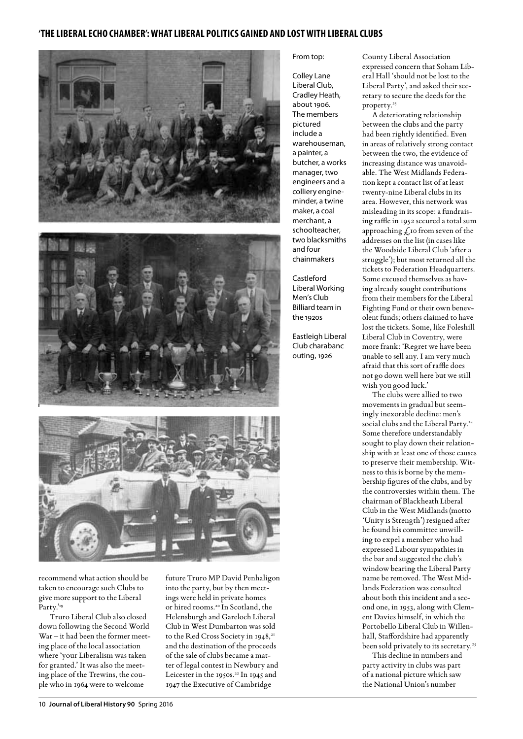



recommend what action should be taken to encourage such Clubs to give more support to the Liberal Party.'<sup>19</sup>

 Truro Liberal Club also closed down following the Second World War – it had been the former meeting place of the local association where 'your Liberalism was taken for granted.' It was also the meeting place of the Trewins, the couple who in 1964 were to welcome

future Truro MP David Penhaligon into the party, but by then meetings were held in private homes or hired rooms.20 In Scotland, the Helensburgh and Gareloch Liberal Club in West Dumbarton was sold to the Red Cross Society in 1948,<sup>21</sup> and the destination of the proceeds of the sale of clubs became a matter of legal contest in Newbury and Leicester in the 1950s.<sup>22</sup> In 1945 and 1947 the Executive of Cambridge

## From top:

Colley Lane Liberal Club, Cradley Heath, about 1906. The members pictured include a warehouseman, a painter, a butcher, a works manager, two engineers and a colliery engineminder, a twine maker, a coal merchant, a schoolteacher, two blacksmiths and four chainmakers

Castleford Liberal Working Men's Club Billiard team in the 1920s

Eastleigh Liberal Club charabanc outing, 1926

County Liberal Association expressed concern that Soham Liberal Hall 'should not be lost to the Liberal Party', and asked their secretary to secure the deeds for the property.<sup>23</sup>

A deteriorating relationship between the clubs and the party had been rightly identified. Even in areas of relatively strong contact between the two, the evidence of increasing distance was unavoidable. The West Midlands Federation kept a contact list of at least twenty-nine Liberal clubs in its area. However, this network was misleading in its scope: a fundraising raffle in 1952 secured a total sum approaching  $f$ , to from seven of the addresses on the list (in cases like the Woodside Liberal Club 'after a struggle'); but most returned all the tickets to Federation Headquarters. Some excused themselves as having already sought contributions from their members for the Liberal Fighting Fund or their own benevolent funds; others claimed to have lost the tickets. Some, like Foleshill Liberal Club in Coventry, were more frank: 'Regret we have been unable to sell any. I am very much afraid that this sort of raffle does not go down well here but we still wish you good luck.'

The clubs were allied to two movements in gradual but seemingly inexorable decline: men's social clubs and the Liberal Party.<sup>24</sup> Some therefore understandably sought to play down their relationship with at least one of those causes to preserve their membership. Witness to this is borne by the membership figures of the clubs, and by the controversies within them. The chairman of Blackheath Liberal Club in the West Midlands (motto 'Unity is Strength') resigned after he found his committee unwilling to expel a member who had expressed Labour sympathies in the bar and suggested the club's window bearing the Liberal Party name be removed. The West Midlands Federation was consulted about both this incident and a second one, in 1953, along with Clement Davies himself, in which the Portobello Liberal Club in Willenhall, Staffordshire had apparently been sold privately to its secretary.<sup>25</sup>

This decline in numbers and party activity in clubs was part of a national picture which saw the National Union's number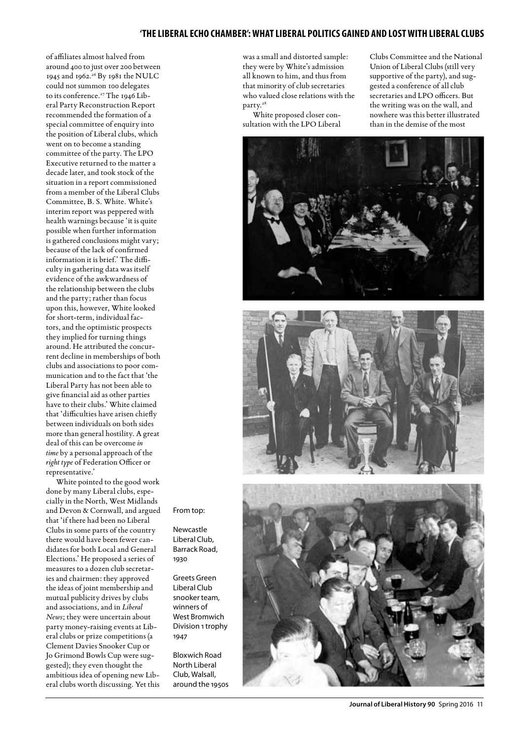of affiliates almost halved from around 400 to just over 200 between 1945 and 1962.26 By 1981 the NULC could not summon 100 delegates to its conference.<sup>27</sup> The 1946 Liberal Party Reconstruction Report recommended the formation of a special committee of enquiry into the position of Liberal clubs, which went on to become a standing committee of the party. The LPO Executive returned to the matter a decade later, and took stock of the situation in a report commissioned from a member of the Liberal Clubs Committee, B. S. White. White's interim report was peppered with health warnings because 'it is quite possible when further information is gathered conclusions might vary; because of the lack of confirmed information it is brief.' The difficulty in gathering data was itself evidence of the awkwardness of the relationship between the clubs and the party; rather than focus upon this, however, White looked for short-term, individual factors, and the optimistic prospects they implied for turning things around. He attributed the concurrent decline in memberships of both clubs and associations to poor communication and to the fact that 'the Liberal Party has not been able to give financial aid as other parties have to their clubs.' White claimed that 'difficulties have arisen chiefly between individuals on both sides more than general hostility. A great deal of this can be overcome *in time* by a personal approach of the *right type* of Federation Officer or representative.'

White pointed to the good work done by many Liberal clubs, especially in the North, West Midlands and Devon & Cornwall, and argued that 'if there had been no Liberal Clubs in some parts of the country there would have been fewer candidates for both Local and General Elections.' He proposed a series of measures to a dozen club secretaries and chairmen: they approved the ideas of joint membership and mutual publicity drives by clubs and associations, and in *Liberal News*; they were uncertain about party money-raising events at Liberal clubs or prize competitions (a Clement Davies Snooker Cup or Jo Grimond Bowls Cup were suggested); they even thought the ambitious idea of opening new Liberal clubs worth discussing. Yet this

was a small and distorted sample: they were by White's admission all known to him, and thus from that minority of club secretaries who valued close relations with the party.28

White proposed closer consultation with the LPO Liberal

Clubs Committee and the National Union of Liberal Clubs (still very supportive of the party), and suggested a conference of all club secretaries and LPO officers. But the writing was on the wall, and nowhere was this better illustrated than in the demise of the most





From top:

Newcastle Liberal Club, Barrack Road, 1930

Greets Green Liberal Club snooker team, winners of West Bromwich Division 1 trophy 1947

Bloxwich Road North Liberal Club, Walsall, around the 1950s

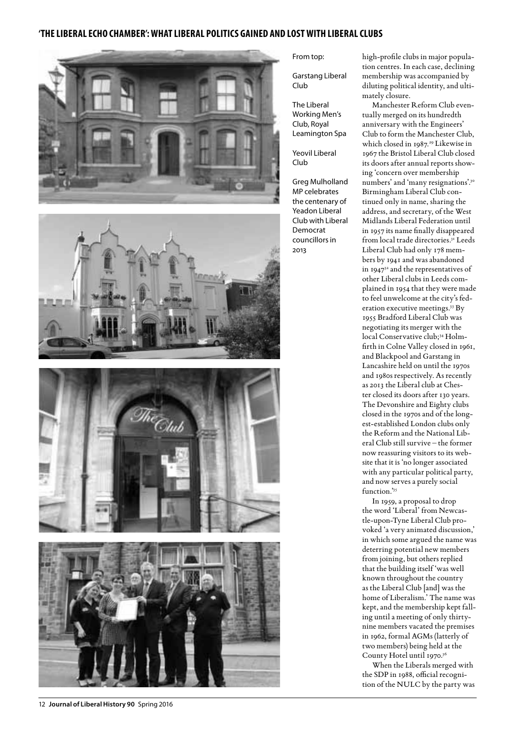







#### 12 **Journal of Liberal History 90** Spring 2016

From top:

Garstang Liberal Club

The Liberal Working Men's Club, Royal Leamington Spa

Yeovil Liberal Club

Greg Mulholland MP celebrates the centenary of Yeadon Liberal Club with Liberal Democrat councillors in 2013

high-profile clubs in major population centres. In each case, declining membership was accompanied by diluting political identity, and ultimately closure.

Manchester Reform Club eventually merged on its hundredth anniversary with the Engineers' Club to form the Manchester Club, which closed in 1987.<sup>29</sup> Likewise in 1967 the Bristol Liberal Club closed its doors after annual reports showing 'concern over membership numbers' and 'many resignations'.30 Birmingham Liberal Club continued only in name, sharing the address, and secretary, of the West Midlands Liberal Federation until in 1957 its name finally disappeared from local trade directories.<sup>31</sup> Leeds Liberal Club had only 178 members by 1941 and was abandoned in 1947<sup>32</sup> and the representatives of other Liberal clubs in Leeds complained in 1954 that they were made to feel unwelcome at the city's federation executive meetings.33 By 1955 Bradford Liberal Club was negotiating its merger with the local Conservative club;<sup>34</sup> Holmfirth in Colne Valley closed in 1961, and Blackpool and Garstang in Lancashire held on until the 1970s and 1980s respectively. As recently as 2013 the Liberal club at Chester closed its doors after 130 years. The Devonshire and Eighty clubs closed in the 1970s and of the longest-established London clubs only the Reform and the National Liberal Club still survive – the former now reassuring visitors to its website that it is 'no longer associated with any particular political party, and now serves a purely social function."<sup>35</sup>

In 1959, a proposal to drop the word 'Liberal' from Newcastle-upon-Tyne Liberal Club provoked 'a very animated discussion,' in which some argued the name was deterring potential new members from joining, but others replied that the building itself 'was well known throughout the country as the Liberal Club [and] was the home of Liberalism.' The name was kept, and the membership kept falling until a meeting of only thirtynine members vacated the premises in 1962, formal AGMs (latterly of two members) being held at the County Hotel until 1970.36

When the Liberals merged with the SDP in 1988, official recognition of the NULC by the party was